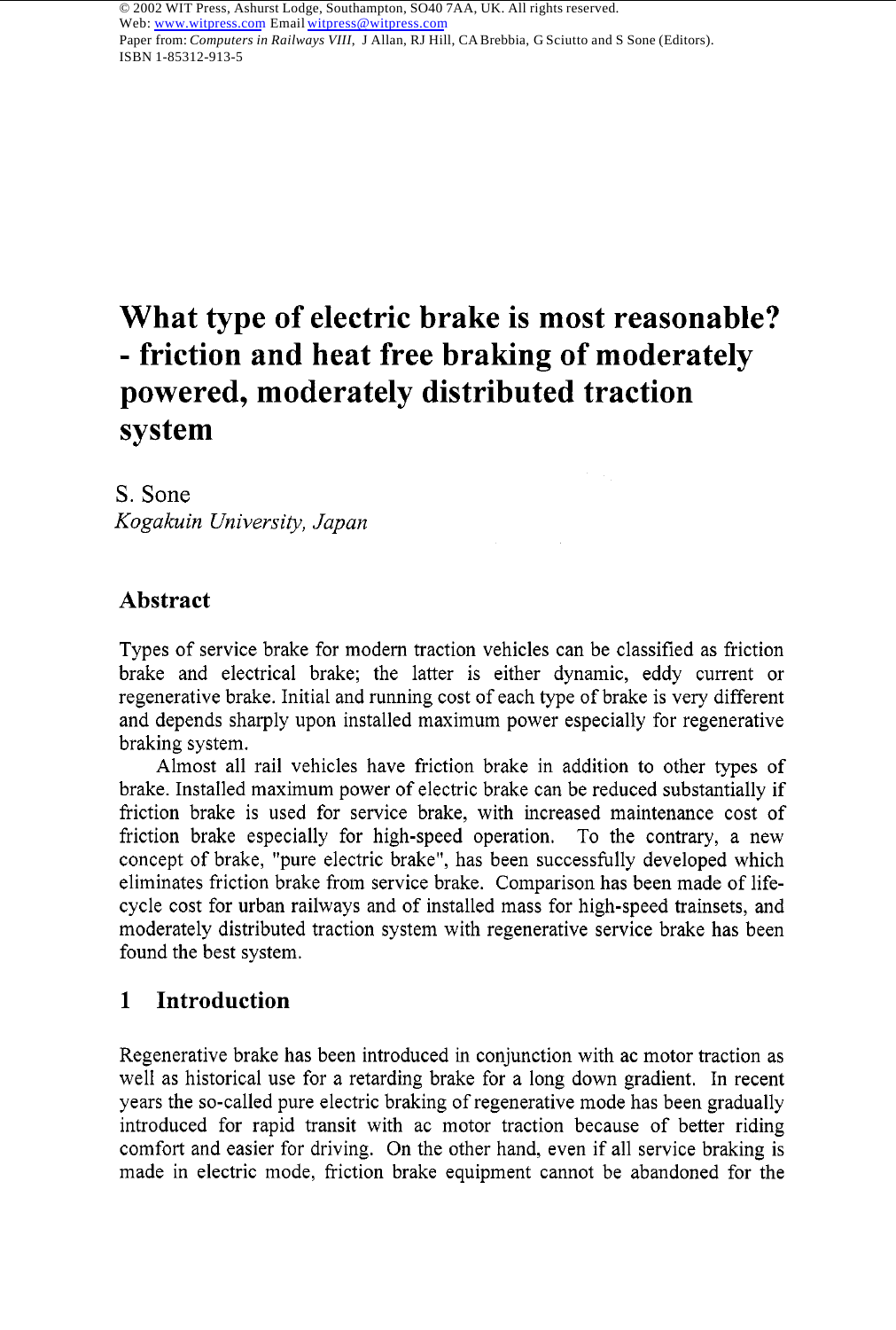Paper from: *Computers in Railways VIII*, J Allan, RJ Hill, CA Brebbia, G Sciutto and S Sone (Editors). ISBN 1-85312-913-5

# **What type of electric brake is most reasonable?**  - **friction and heat free braking of moderately powered, moderately distributed traction system**

S. Sone *Kogaku in University, Japan* 

## **Abstract**

Types of service brake for modern traction vehicles can be classified as friction brake and electrical brake; the latter is either dynamic, eddy current or regenerative brake. Initial and running cost of each type of brake is very different and depends sharply upon installed maximum power especially for regenerative braking system.

Almost all rail vehicles have friction brake in addition to other types of brake. Installed maximum power of electric brake can be reduced substantially if friction brake is used for service brake, with increased maintenance cost of friction brake especially for high-speed operation. To the contrary, a new concept of brake, "pure electric brake", has been successfully developed which eliminates friction brake from service brake. Comparison has been made of lifecycle cost for urban railways and of installed mass for high-speed trainsets, and moderately distributed traction system with regenerative service brake has been found the best system.

## **1 Introduction**

Regenerative brake has been introduced in conjunction with ac motor traction as well as historical use for a retarding brake for a long down gradient. In recent years the so-called pure electric braking of regenerative mode has been gradually introduced for rapid transit with ac motor traction because of better riding comfort and easier for driving. On the other hand, even if all service braking is made in electric mode, friction brake equipment cannot be abandoned for the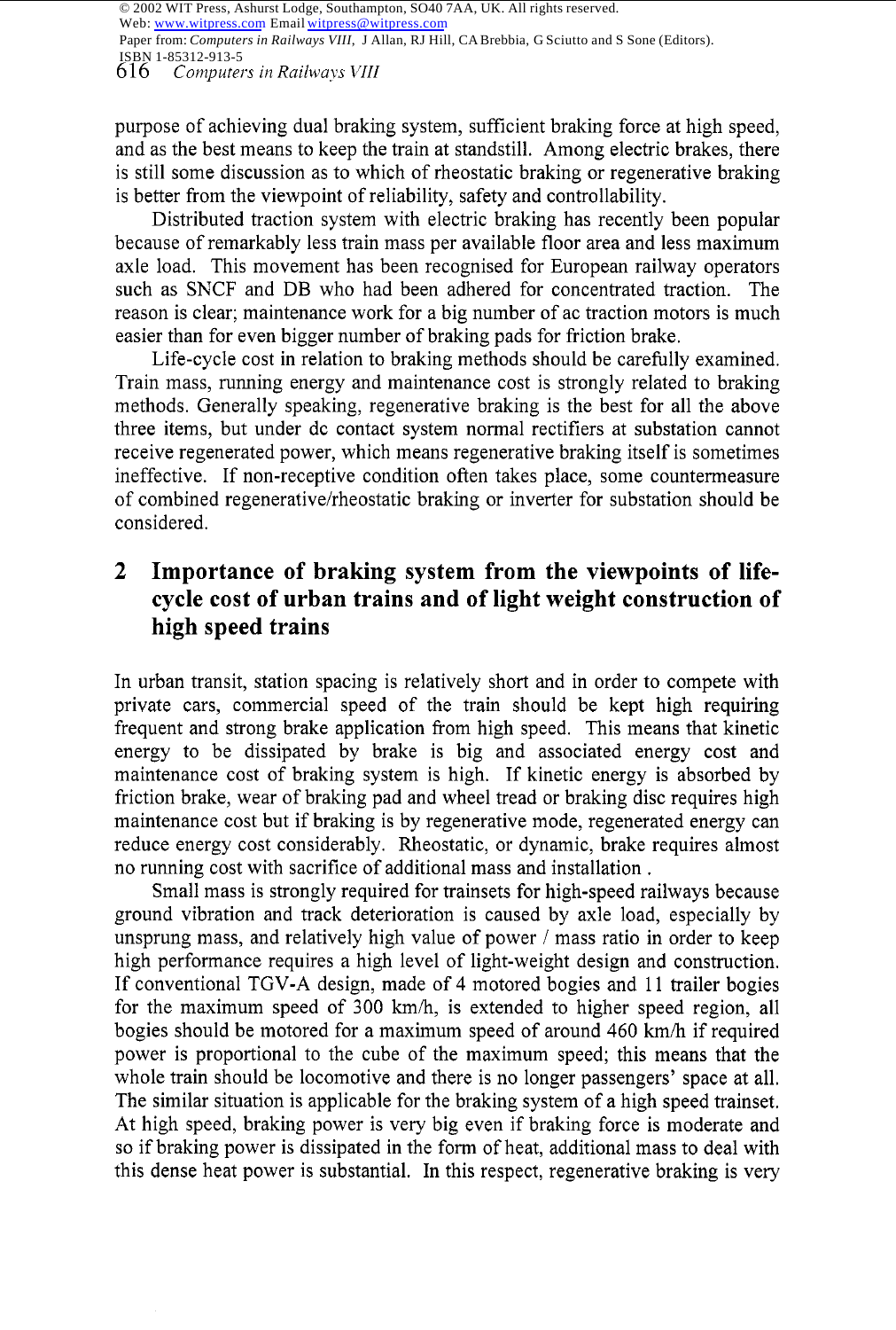© 2002 WIT Press, Ashurst Lodge, Southampton, SO40 7AA, UK. All rights reserved.

Web: www.witpress.com Email witpress@witpress.com

Paper from: *Computers in Railways VIII*, J Allan, RJ Hill, CA Brebbia, G Sciutto and S Sone (Editors). ISBN 1-85312-913-5

6 16 *Computers in Railways VIII* 

purpose of achieving dual braking system, sufficient braking force at high speed, and as the best means to keep the train at standstill. Among electric brakes, there is still some discussion as to which of rheostatic braking or regenerative braking is better from the viewpoint of reliability, safety and controllability.

Distributed traction system with electric braking has recently been popular because of remarkably less train mass per available floor area and less maximum axle load. This movement has been recognised for European railway operators such as SNCF and DB who had been adhered for concentrated traction. The reason is clear; maintenance work for a big number of ac traction motors is much easier than for even bigger number of braking pads for friction brake.

Life-cycle cost in relation to braking methods should be carefully examined. Train mass, running energy and maintenance cost is strongly related to braking methods. Generally speaking, regenerative braking is the best for all the above three items, but under dc contact system normal rectifiers at substation cannot receive regenerated power, which means regenerative braking itself is sometimes ineffective. If non-receptive condition often takes place, some countermeasure of combined regenerative/rheostatic braking or inverter for substation should be considered.

# **2 Importance of braking system from the viewpoints of lifecycle cost of urban trains and of light weight construction of high speed trains**

In urban transit, station spacing is relatively short and in order to compete with private cars, commercial speed of the train should be kept high requiring frequent and strong brake application from high speed. This means that kinetic energy to be dissipated by brake is big and associated energy cost and maintenance cost of braking system is high. If kinetic energy is absorbed by friction brake, wear of braking pad and wheel tread or braking disc requires high maintenance cost but if braking is by regenerative mode, regenerated energy can reduce energy cost considerably. Rheostatic, or dynamic, brake requires almost no running cost with sacrifice of additional mass and installation .

Small mass is strongly required for trainsets for high-speed railways because ground vibration and track deterioration is caused by axle load, especially by unsprung mass, and relatively high value of power / mass ratio in order to keep high performance requires a high level of light-weight design and construction. If conventional TGV-A design, made of 4 motored bogies and 11 trailer bogies for the maximum speed of 300 *kmh,* is extended to higher speed region, all bogies should be motored for a maximum speed of around 460 *kmh* if required power is proportional to the cube of the maximum speed; this means that the whole train should be locomotive and there is no longer passengers' space at all. The similar situation is applicable for the braking system of a high speed trainset. At high speed, braking power is very big even if braking force is moderate and so if braking power is dissipated in the form of heat, additional mass to deal with this dense heat power is substantial. In this respect, regenerative braking is very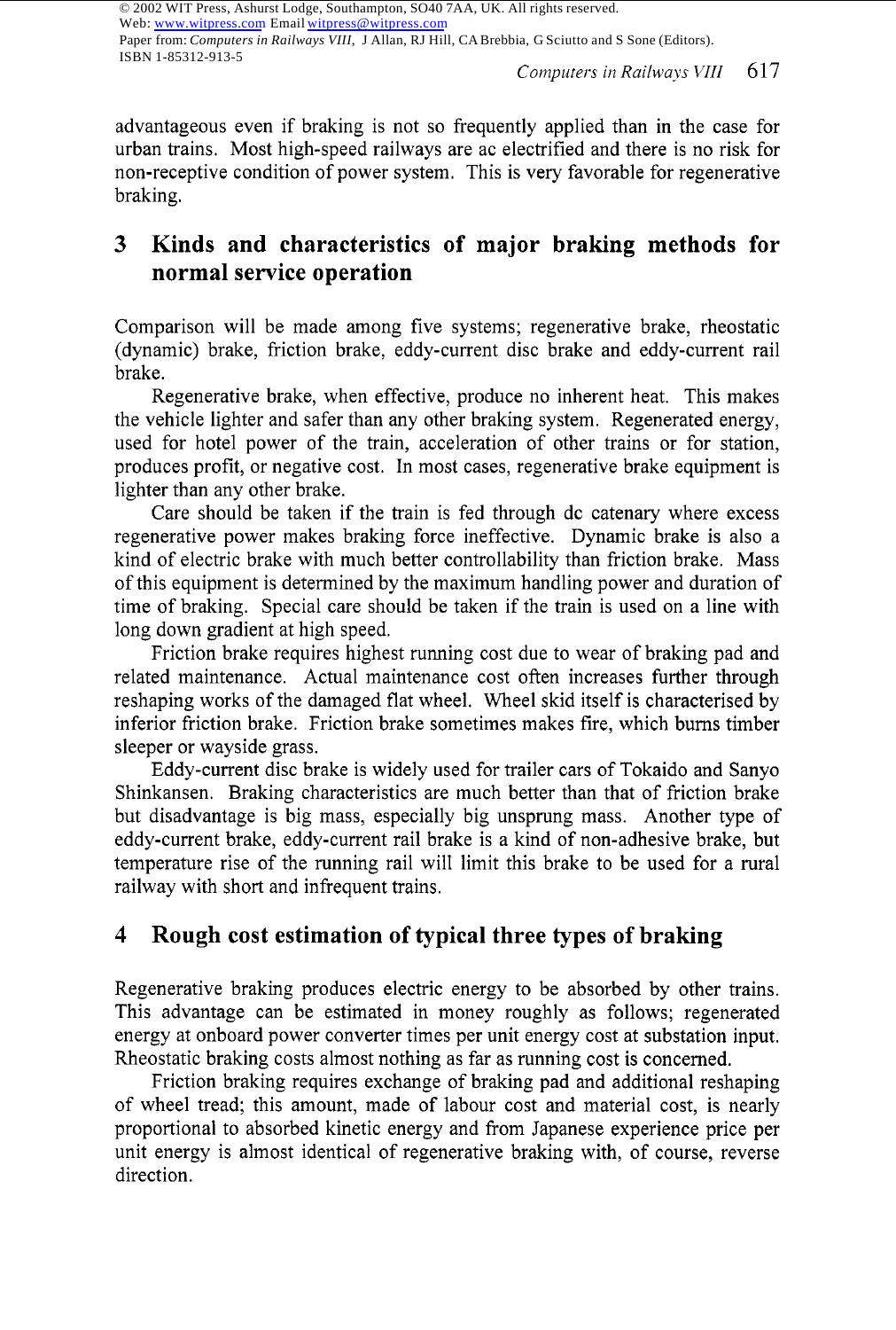Paper from: *Computers in Railways VIII*, J Allan, RJ Hill, CA Brebbia, G Sciutto and S Sone (Editors). ISBN 1-85312-913-5

advantageous even if braking is not so frequently applied than in the case for urban trains. Most high-speed railways are ac electrified and there is no risk for non-receptive condition of power system. This is very favorable for regenerative braking.

# **3 Kinds and characteristics of major braking methods for normal service operation**

Comparison will be made among five systems; regenerative brake, rheostatic (dynamic) brake, friction brake, eddy-current disc brake and eddy-current rail brake.

Regenerative brake, when effective, produce no inherent heat. This makes the vehicle lighter and safer than any other braking system. Regenerated energy, used for hotel power of the train, acceleration of other trains or for station, produces profit, or negative cost. In most cases, regenerative brake equipment is lighter than any other brake.

Care should be taken if the train is fed through dc catenary where excess regenerative power makes braking force ineffective. Dynamic brake is also a kind of electric brake with much better controllability than friction brake. Mass of this equipment is determined by the maximum handling power and duration of time of braking. Special care should be taken if the train is used on a line with long down gradient at high speed.

Friction brake requires highest running cost due to wear of braking pad and related maintenance. Actual maintenance cost often increases further through reshaping works of the damaged flat wheel. Wheel skid itself is characterised by inferior friction brake. Friction brake sometimes makes fire, which bums timber sleeper or wayside grass.

Eddy-current disc brake is widely used for trailer cars of Tokaido and Sanyo Shinkansen. Braking characteristics are much better than that of friction brake but disadvantage is big mass, especially big unsprung mass. Another type of eddy-current brake, eddy-current rail brake is a kind of non-adhesive brake, but temperature rise of the running rail will limit this brake to be used for a rural railway with short and infrequent trains.

# **4 Rough cost estimation of typical three types of braking**

Regenerative braking produces electric energy to be absorbed by other trains. This advantage can be estimated in money roughly as follows; regenerated energy at onboard power converter times per unit energy cost at substation input. Rheostatic braking costs almost nothing as far as running cost is concerned.

Friction braking requires exchange of braking pad and additional reshaping of wheel tread; this amount, made of labour cost and material cost, is nearly proportional to absorbed kinetic energy and from Japanese experience price per unit energy is almost identical of regenerative braking with, of course, reverse direction.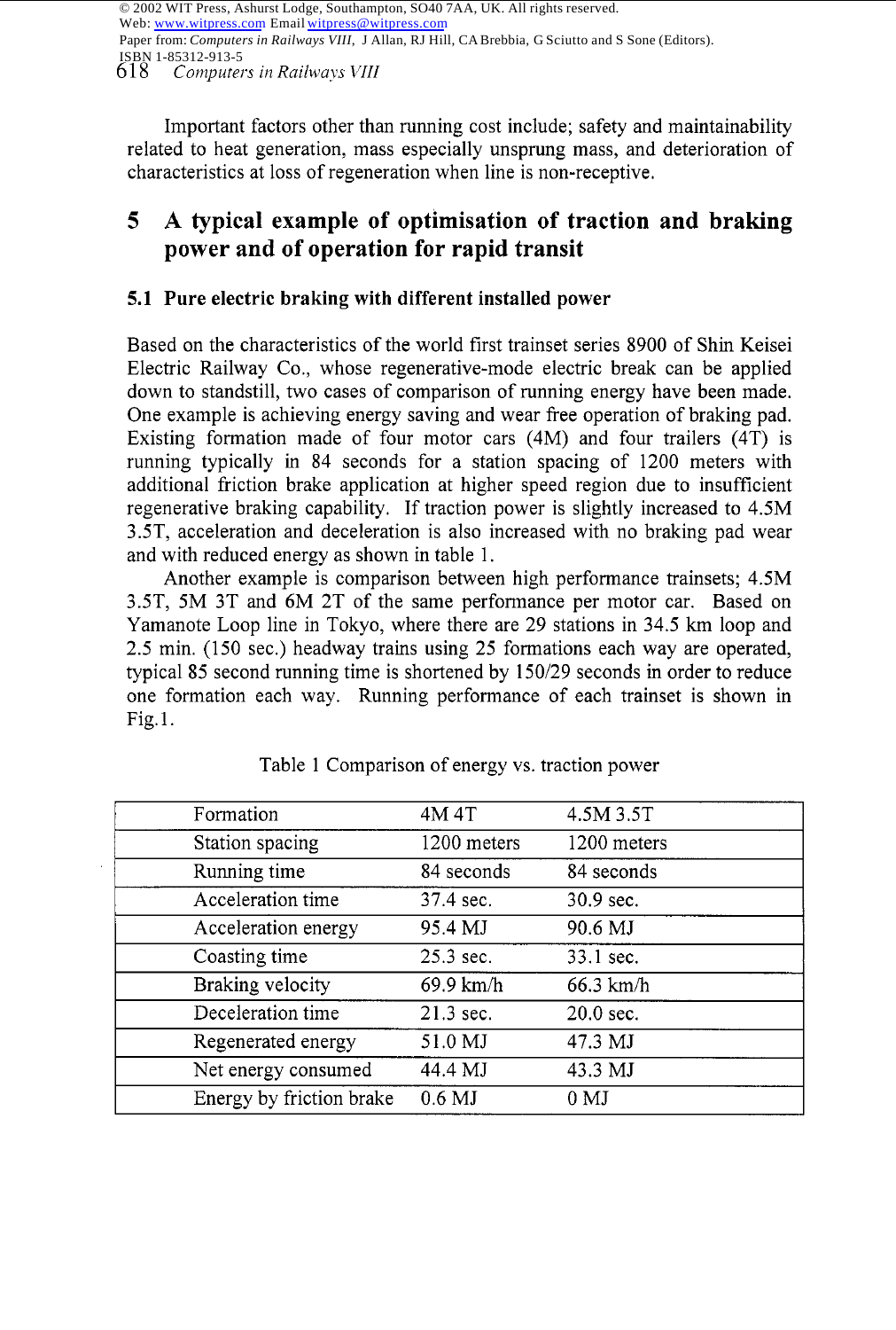6 18 *Computers in Railways VIII*  © 2002 WIT Press, Ashurst Lodge, Southampton, SO40 7AA, UK. All rights reserved. Web: www.witpress.com Email witpress@witpress.com Paper from: *Computers in Railways VIII*, J Allan, RJ Hill, CA Brebbia, G Sciutto and S Sone (Editors). ISBN 1-85312-913-5

Important factors other than running cost include; safety and maintainability related to heat generation, mass especially unsprung mass, and deterioration of characteristics at loss of regeneration when line is non-receptive.

# **5 A typical example of optimisation of traction and braking power and of operation for rapid transit**

#### **5.1 Pure electric braking with different installed power**

Based on the characteristics of the world first trainset series 8900 of Shin Keisei Electric Railway Co., whose regenerative-mode electric break can be applied down to standstill, two cases of comparison of running energy have been made. One example is achieving energy saving and wear free operation of braking pad. Existing formation made of four motor cars (4M) and four trailers (4T) is running typically in 84 seconds for a station spacing of 1200 meters with additional friction brake application at higher speed region due to insufficient regenerative braking capability. If traction power is slightly increased to 4.5M 3.5T, acceleration and deceleration is also increased with no braking pad wear and with reduced energy as shown in table 1.

Another example is comparison between high performance trainsets; 4.5M 3ST, 5M 3T and 6M 2T of the same performance per motor car. Based on Yamanote Loop line in Tokyo, where there are 29 stations in 34.5 km loop and 2.5 min. (150 sec.) headway trains using 25 formations each way are operated, typical 85 second running time is shortened by 150/29 seconds in order to reduce one formation each way. Running performance of each trainset is shown in Fig. 1.

| Formation                | 4M 4T       | 4.5M 3.5T       |
|--------------------------|-------------|-----------------|
| Station spacing          | 1200 meters | 1200 meters     |
| Running time             | 84 seconds  | 84 seconds      |
| Acceleration time        | 37.4 sec.   | 30.9 sec.       |
| Acceleration energy      | 95.4 MJ     | 90.6 MJ         |
| Coasting time            | $25.3$ sec. | 33.1 sec.       |
| Braking velocity         | 69.9 km/h   | $66.3$ km/h     |
| Deceleration time        | 21.3 sec.   | $20.0$ sec.     |
| Regenerated energy       | 51.0 MJ     | 47.3 MJ         |
| Net energy consumed      | 44.4 MJ     | 43.3 MJ         |
| Energy by friction brake | $0.6$ MJ    | 0 <sub>MI</sub> |

Table 1 Comparison of energy vs. traction power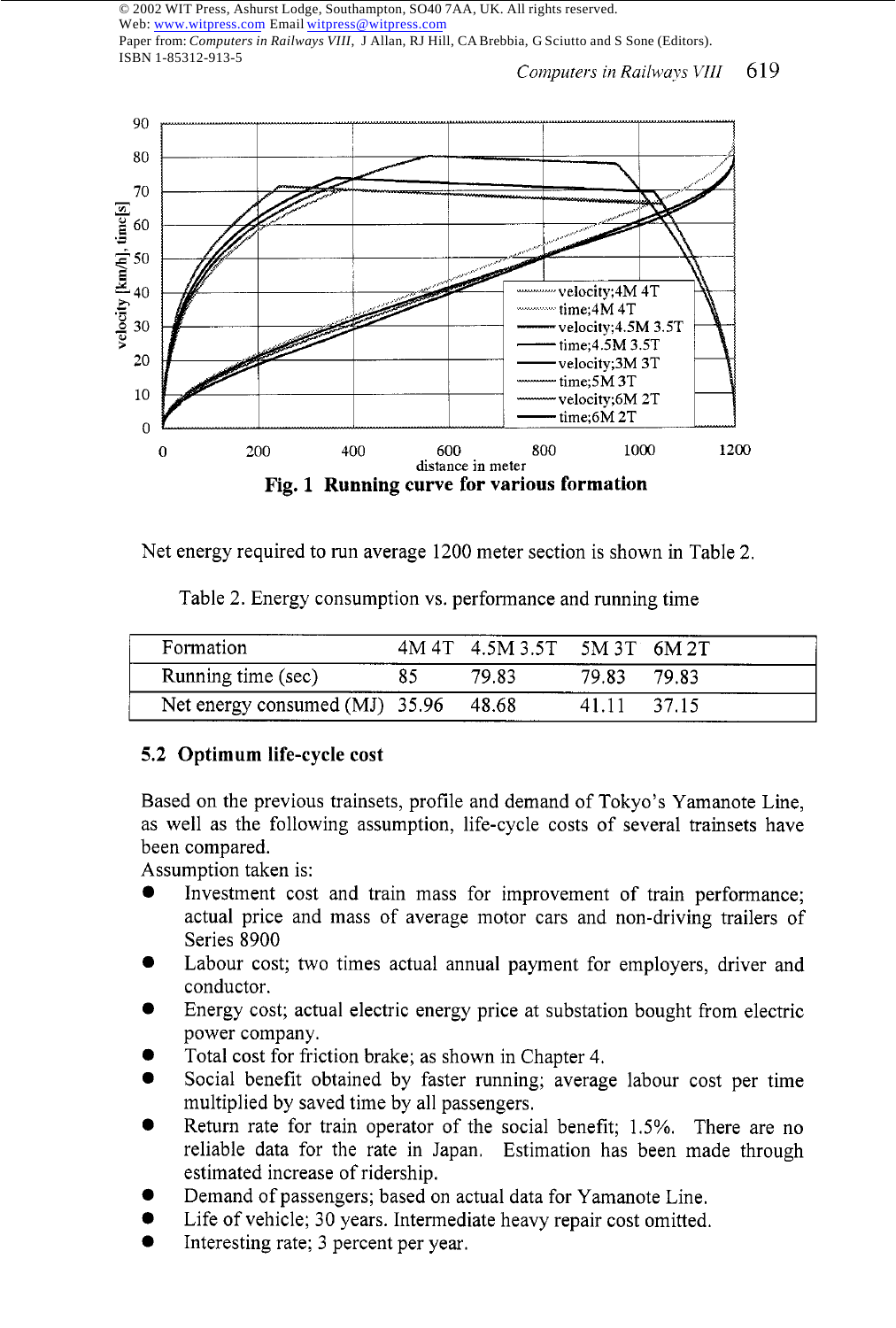© 2002 WIT Press, Ashurst Lodge, Southampton, SO40 7AA, UK. All rights reserved. Web: www.witpress.com Email witpress@witpress.com Paper from: *Computers in Railways VIII*, J Allan, RJ Hill, CA Brebbia, G Sciutto and S Sone (Editors).

*Computers in Railways VIII* 619



Net energy required to run average 1200 meter section is shown in Table 2.

| Formation                            |    | 4M 4T 4.5M 3.5T 5M 3T 6M 2T |       |       |
|--------------------------------------|----|-----------------------------|-------|-------|
| Running time (sec)                   | 85 | 79.83                       | 79.83 | 79.83 |
| Net energy consumed (MJ) 35.96 48.68 |    |                             | 41.11 | 37.15 |

Table 2. Energy consumption vs. performance and running time

## **5.2 Optimum life-cycle cost**

Based on the previous trainsets, profile and demand of Tokyo's Yamanote Line, as well as the following assumption, life-cycle costs of several trainsets have been compared.

Assumption taken is:

ISBN 1-85312-913-5

- Investment cost and train mass for improvement of train performance; actual price and mass of average motor cars and non-driving trailers of Series 8900
- Labour cost; two times actual annual payment for employers, driver and conductor. *0*
- Energy cost; actual electric energy price at substation bought from electric power company. *0*
- Total cost for friction brake; as shown in Chapter 4. *0*
- Social benefit obtained by faster running; average labour cost per time multiplied by saved time by all passengers. *0*
- Return rate for train operator of the social benefit; 1.5%. There are no reliable data for the rate in Japan. Estimation has been made through estimated increase of ridership. *0*
- Demand of passengers; based on actual data for Yamanote Line. *0*
- Life of vehicle; 30 years. Intermediate heavy repair cost omitted. *0*
- Interesting rate; 3 percent per year. *0*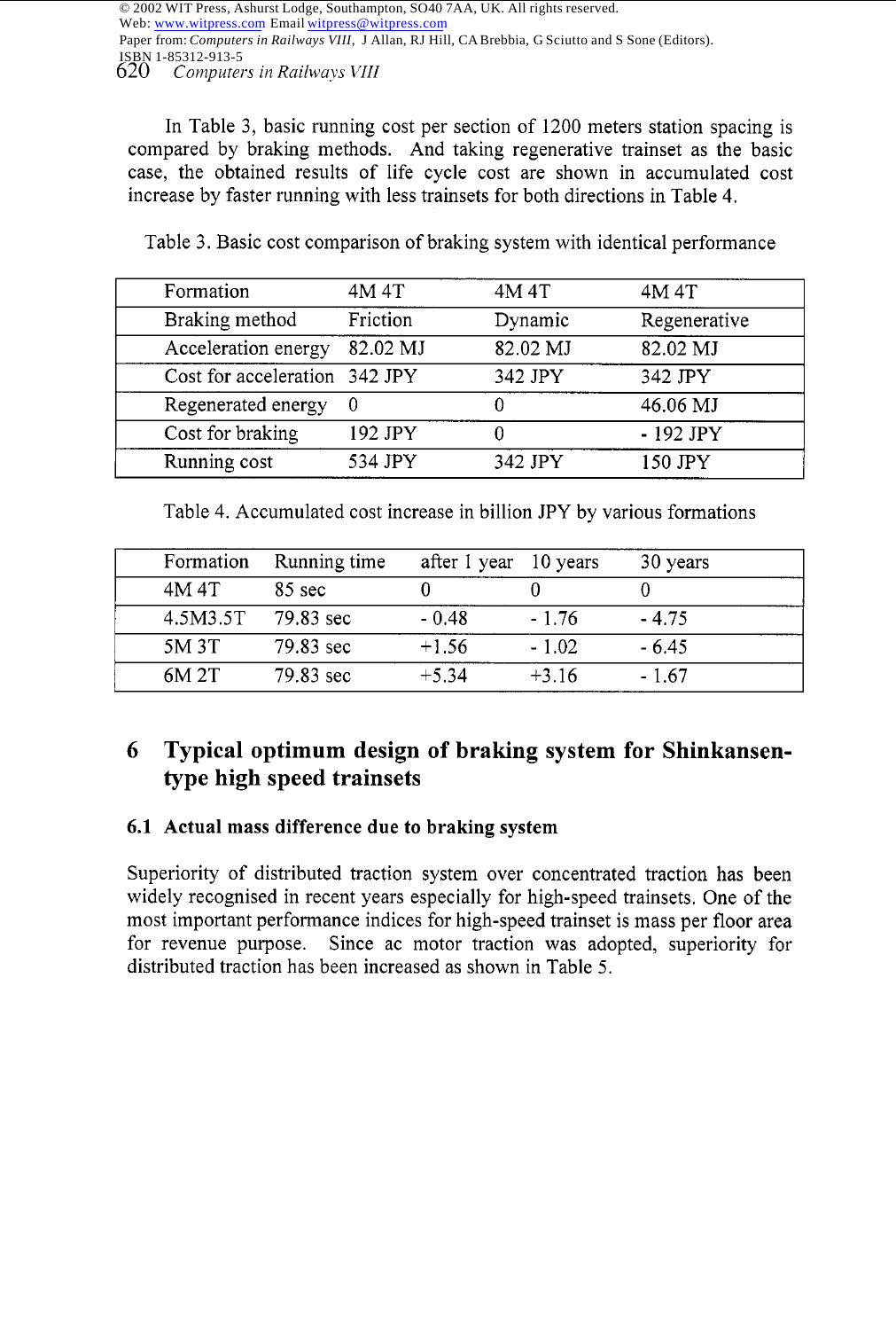Paper from: *Computers in Railways VIII*, J Allan, RJ Hill, CA Brebbia, G Sciutto and S Sone (Editors).

*620 Computers in Railways VIII*  ISBN 1-85312-913-5

In Table 3, basic running cost per section of 1200 meters station spacing is compared by braking methods. And taking regenerative trainset as the basic case, the obtained results of life cycle cost are shown in accumulated cost increase by faster running with less trainsets for both directions in Table 4.

| Formation                     | 4M 4T    | 4M 4T    | 4M 4T        |
|-------------------------------|----------|----------|--------------|
| Braking method                | Friction | Dynamic  | Regenerative |
| Acceleration energy           | 82.02 MJ | 82.02 MJ | 82.02 MJ     |
| Cost for acceleration 342 JPY |          | 342 JPY  | 342 JPY      |
| Regenerated energy            | 0        |          | 46.06 MJ     |
| Cost for braking              | 192 JPY  |          | - 192 JPY    |
| Running cost                  | 534 JPY  | 342 JPY  | 150 JPY      |
|                               |          |          |              |

Table 3. Basic cost comparison of braking system with identical performance

Table 4. Accumulated cost increase in billion JPY by various formations

| Formation | Running time     | after 1 year 10 years |         | 30 years |
|-----------|------------------|-----------------------|---------|----------|
| 4M 4T     | $85 \text{ sec}$ |                       |         |          |
| 4.5M3.5T  | 79.83 sec        | $-0.48$               | $-1.76$ | $-4.75$  |
| 5M 3T     | 79.83 sec        | $+1.56$               | $-1.02$ | $-6.45$  |
| 6M 2T     | 79.83 sec        | $+5.34$               | $+3.16$ | $-1.67$  |

# **6 Typical optimum design of braking system for Shinkansentype high speed trainsets**

## **6.1 Actual mass difference due to braking system**

Superiority of distributed traction system over concentrated traction has been widely recognised in recent years especially for high-speed trainsets. One of the most important performance indices for high-speed trainset is mass per floor area for revenue purpose. Since ac motor traction was adopted, superiority for distributed traction has been increased as shown in Table 5.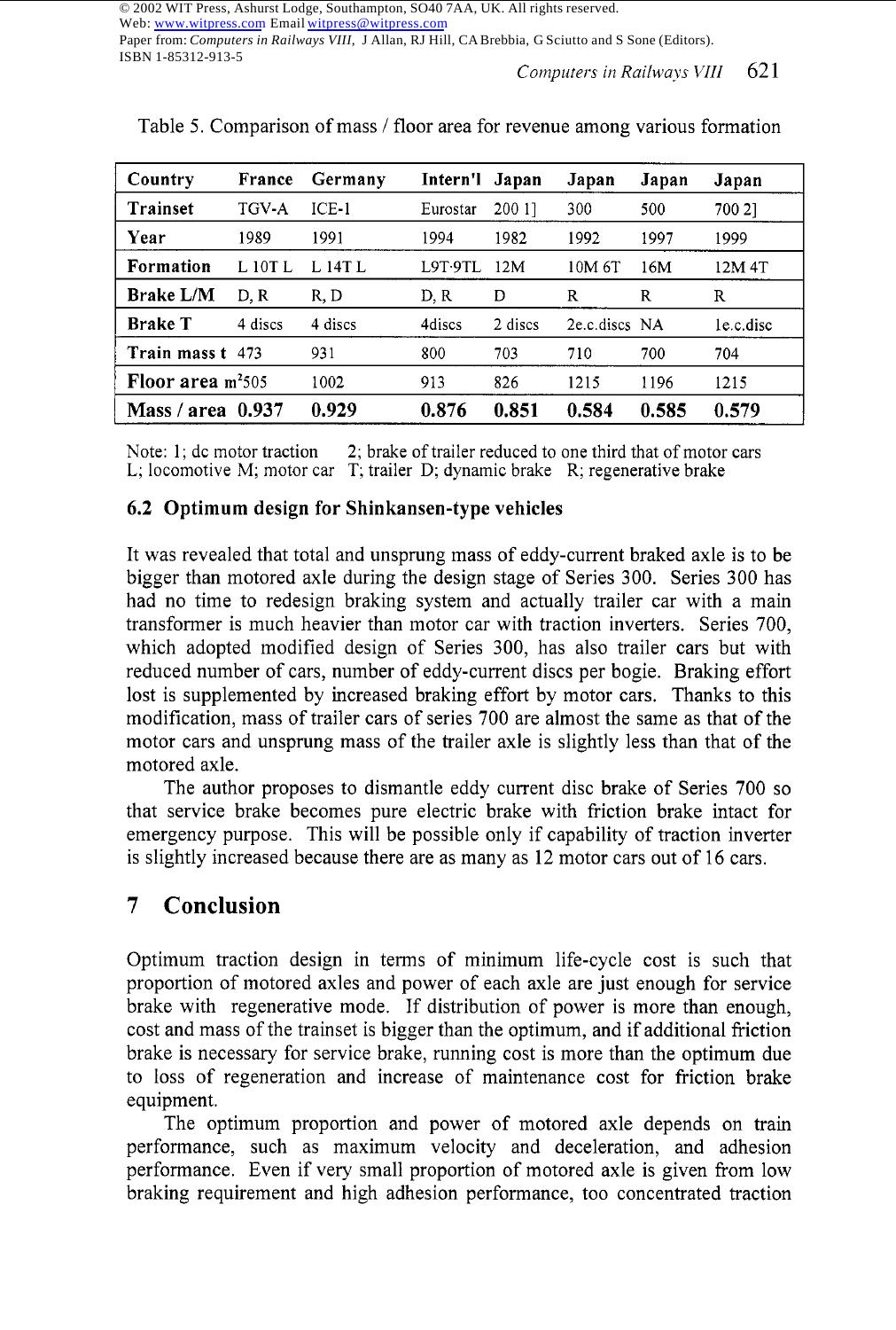Paper from: *Computers in Railways VIII*, J Allan, RJ Hill, CA Brebbia, G Sciutto and S Sone (Editors). ISBN 1-85312-913-5

*Computers in Railways VIII* 621

| Country            | France  | Germany | Intern'l Japan |         | Japan              | Japan | Japan     |
|--------------------|---------|---------|----------------|---------|--------------------|-------|-----------|
| Trainset           | TGV-A   | $ICE-1$ | Eurostar       | 200 11  | 300                | 500   | 700 21    |
| Year               | 1989    | 1991    | 1994           | 1982    | 1992               | 1997  | 1999      |
| Formation          | L 10T L | L 14T L | <b>L9T-9TL</b> | 12M     | 10M <sub>6</sub> T | 16M   | 12M 4T    |
| <b>Brake L/M</b>   | D.R     | R, D    | D.R            | Ð       | R                  | R     | R         |
| <b>Brake T</b>     | 4 discs | 4 discs | 4discs         | 2 discs | 2e.c.discs NA      |       | le.c.disc |
| Train mass t 473   |         | 931     | 800            | 703     | 710                | 700   | 704       |
| Floor area $m2505$ |         | 1002    | 913            | 826     | 1215               | 1196  | 1215      |
| Mass / area        | 0.937   | 0.929   | 0.876          | 0.851   | 0.584              | 0.585 | 0.579     |

Table 5. Comparison of mass *I* floor area for revenue among various formation

Note: 1; dc motor traction 2; brake of trailer reduced to one third that of motor cars L; locomotive M; motor car T; trailer D; dynamic brake R; regenerative brake

#### **6.2 Optimum design for Shinkansen-type vehicles**

It was revealed that total and unsprung mass of eddy-current braked axle is to be bigger than motored axle during the design stage of Series 300. Series 300 has had no time to redesign braking system and actually trailer car with a main transformer is much heavier than motor car with traction inverters. Series 700, which adopted modified design of Series 300, has also trailer cars but with reduced number of cars, number of eddy-current discs per bogie. Braking effort lost is supplemented by increased braking effort by motor cars. Thanks to this modification, mass of trailer cars of series 700 are almost the same as that of the motor cars and unsprung mass of the trailer axle is slightly less than that of the motored axle.

The author proposes to dismantle eddy current disc brake of Series 700 so that service brake becomes pure electric brake with friction brake intact for emergency purpose. This will be possible only if capability of traction inverter is slightly increased because there are as many as 12 motor cars out of 16 cars.

## **7 Conclusion**

Optimum traction design in terms of minimum life-cycle cost is such that proportion of motored axles and power of each axle are just enough for service brake with regenerative mode. If distribution of power is more than enough, cost and mass of the trainset is bigger than the optimum, and if additional friction brake is necessary for service brake, running cost is more than the optimum due to loss of regeneration and increase of maintenance cost for friction brake equipment.

The optimum proportion and power of motored axle depends on train performance, such as maximum velocity and deceleration, and adhesion performance. Even if very small proportion of motored axle is given from low braking requirement and high adhesion performance, too concentrated traction